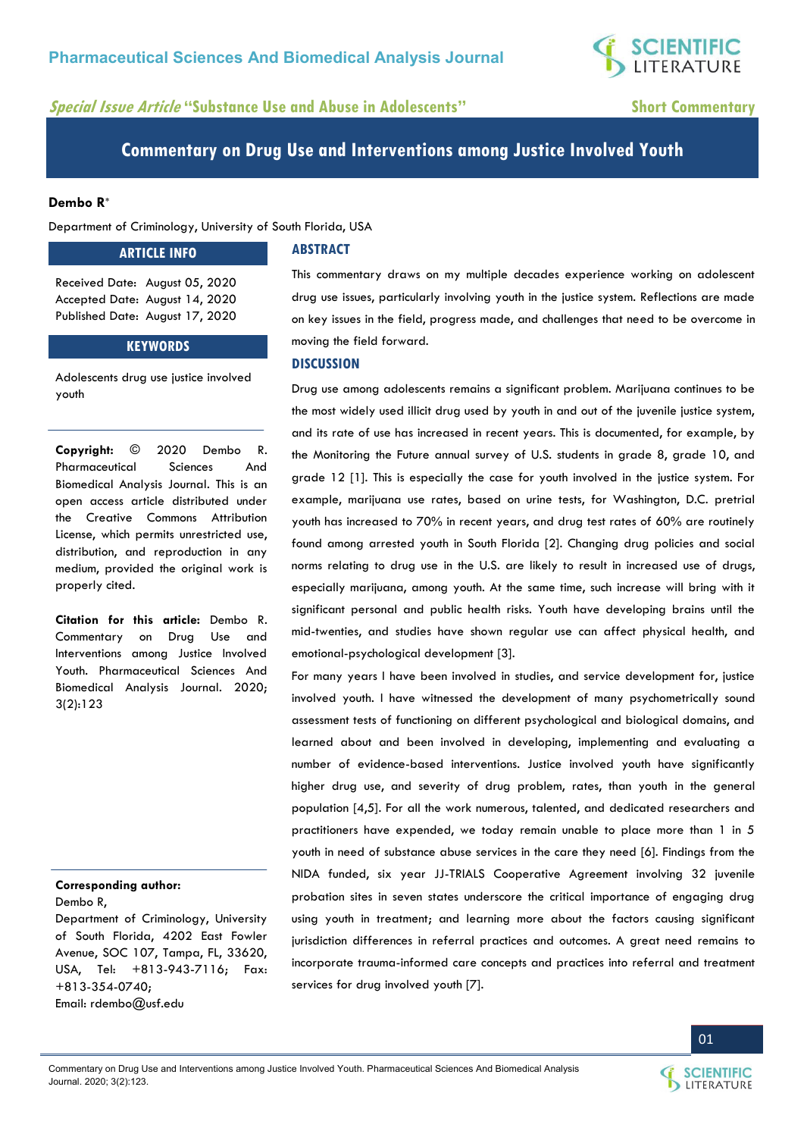**SCIENTIFIC**<br>LITERATURE

# **Special Issue Article "Substance Use and Abuse in Adolescents" Short Commentary**

**Commentary on Drug Use and Interventions among Justice Involved Youth** 

## **Dembo R\***

Department of Criminology, University of South Florida, USA

### **ARTICLE INFO**

Received Date: August 05, 2020 Accepted Date: August 14, 2020 Published Date: August 17, 2020

## **KEYWORDS**

Adolescents drug use justice involved youth

**Copyright:** © 2020 Dembo R. Pharmaceutical Sciences And Biomedical Analysis Journal. This is an open access article distributed under the Creative Commons Attribution License, which permits unrestricted use, distribution, and reproduction in any medium, provided the original work is properly cited.

**Citation for this article:** Dembo R. Commentary on Drug Use and Interventions among Justice Involved Youth. Pharmaceutical Sciences And Biomedical Analysis Journal. 2020; 3(2):123

# **Corresponding author:**

Dembo R,

Department of Criminology, University of South Florida, 4202 East Fowler Avenue, SOC 107, Tampa, FL, 33620, USA, Tel: +813-943-7116; Fax: +813-354-0740; Email: [rdembo@usf.edu](mailto:rdembo@usf.edu) 

## **ABSTRACT**

This commentary draws on my multiple decades experience working on adolescent drug use issues, particularly involving youth in the justice system. Reflections are made on key issues in the field, progress made, and challenges that need to be overcome in moving the field forward.

#### **DISCUSSION**

Drug use among adolescents remains a significant problem. Marijuana continues to be the most widely used illicit drug used by youth in and out of the juvenile justice system, and its rate of use has increased in recent years. This is documented, for example, by the Monitoring the Future annual survey of U.S. students in grade 8, grade 10, and grade 12 [1]. This is especially the case for youth involved in the justice system. For example, marijuana use rates, based on urine tests, for Washington, D.C. pretrial youth has increased to 70% in recent years, and drug test rates of 60% are routinely found among arrested youth in South Florida [2]. Changing drug policies and social norms relating to drug use in the U.S. are likely to result in increased use of drugs, especially marijuana, among youth. At the same time, such increase will bring with it significant personal and public health risks. Youth have developing brains until the mid-twenties, and studies have shown regular use can affect physical health, and emotional-psychological development [3].

For many years I have been involved in studies, and service development for, justice involved youth. I have witnessed the development of many psychometrically sound assessment tests of functioning on different psychological and biological domains, and learned about and been involved in developing, implementing and evaluating a number of evidence-based interventions. Justice involved youth have significantly higher drug use, and severity of drug problem, rates, than youth in the general population [4,5]. For all the work numerous, talented, and dedicated researchers and practitioners have expended, we today remain unable to place more than 1 in 5 youth in need of substance abuse services in the care they need [6]. Findings from the NIDA funded, six year JJ-TRIALS Cooperative Agreement involving 32 juvenile probation sites in seven states underscore the critical importance of engaging drug using youth in treatment; and learning more about the factors causing significant jurisdiction differences in referral practices and outcomes. A great need remains to incorporate trauma-informed care concepts and practices into referral and treatment services for drug involved youth [7].



01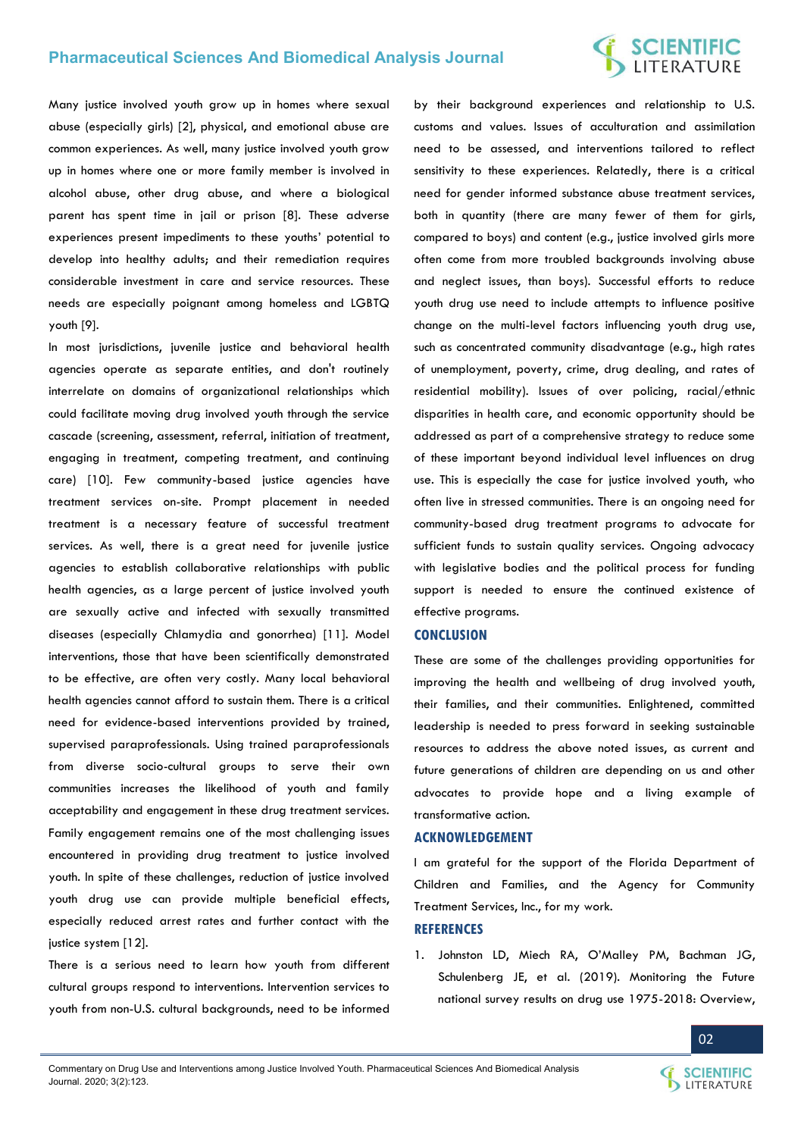## **Pharmaceutical Sciences And Biomedical Analysis Journal**

# **SCIENTIFIC**<br>LITERATURE

Many justice involved youth grow up in homes where sexual abuse (especially girls) [2], physical, and emotional abuse are common experiences. As well, many justice involved youth grow up in homes where one or more family member is involved in alcohol abuse, other drug abuse, and where a biological parent has spent time in jail or prison [8]. These adverse experiences present impediments to these youths' potential to develop into healthy adults; and their remediation requires considerable investment in care and service resources. These needs are especially poignant among homeless and LGBTQ youth [9].

In most jurisdictions, juvenile justice and behavioral health agencies operate as separate entities, and don't routinely interrelate on domains of organizational relationships which could facilitate moving drug involved youth through the service cascade (screening, assessment, referral, initiation of treatment, engaging in treatment, competing treatment, and continuing care) [10]. Few community-based justice agencies have treatment services on-site. Prompt placement in needed treatment is a necessary feature of successful treatment services. As well, there is a great need for juvenile justice agencies to establish collaborative relationships with public health agencies, as a large percent of justice involved youth are sexually active and infected with sexually transmitted diseases (especially Chlamydia and gonorrhea) [11]. Model interventions, those that have been scientifically demonstrated to be effective, are often very costly. Many local behavioral health agencies cannot afford to sustain them. There is a critical need for evidence-based interventions provided by trained, supervised paraprofessionals. Using trained paraprofessionals from diverse socio-cultural groups to serve their own communities increases the likelihood of youth and family acceptability and engagement in these drug treatment services. Family engagement remains one of the most challenging issues encountered in providing drug treatment to justice involved youth. In spite of these challenges, reduction of justice involved youth drug use can provide multiple beneficial effects, especially reduced arrest rates and further contact with the justice system [12].

There is a serious need to learn how youth from different cultural groups respond to interventions. Intervention services to youth from non-U.S. cultural backgrounds, need to be informed

by their background experiences and relationship to U.S. customs and values. Issues of acculturation and assimilation need to be assessed, and interventions tailored to reflect sensitivity to these experiences. Relatedly, there is a critical need for gender informed substance abuse treatment services, both in quantity (there are many fewer of them for girls, compared to boys) and content (e.g., justice involved girls more often come from more troubled backgrounds involving abuse and neglect issues, than boys). Successful efforts to reduce youth drug use need to include attempts to influence positive change on the multi-level factors influencing youth drug use, such as concentrated community disadvantage (e.g., high rates of unemployment, poverty, crime, drug dealing, and rates of residential mobility). Issues of over policing, racial/ethnic disparities in health care, and economic opportunity should be addressed as part of a comprehensive strategy to reduce some of these important beyond individual level influences on drug use. This is especially the case for justice involved youth, who often live in stressed communities. There is an ongoing need for community-based drug treatment programs to advocate for sufficient funds to sustain quality services. Ongoing advocacy with legislative bodies and the political process for funding support is needed to ensure the continued existence of effective programs.

#### **CONCLUSION**

These are some of the challenges providing opportunities for improving the health and wellbeing of drug involved youth, their families, and their communities. Enlightened, committed leadership is needed to press forward in seeking sustainable resources to address the above noted issues, as current and future generations of children are depending on us and other advocates to provide hope and a living example of transformative action.

#### **ACKNOWLEDGEMENT**

I am grateful for the support of the Florida Department of Children and Families, and the Agency for Community Treatment Services, Inc., for my work.

#### **REFERENCES**

1. [Johnston LD, Miech RA, O](https://eric.ed.gov/?id=ED594190)'Malley PM, Bachman JG, [Schulenberg JE, et al. \(2019\). Monitoring the Future](https://eric.ed.gov/?id=ED594190)  [national survey results on drug use 1975-2018: Overview,](https://eric.ed.gov/?id=ED594190)